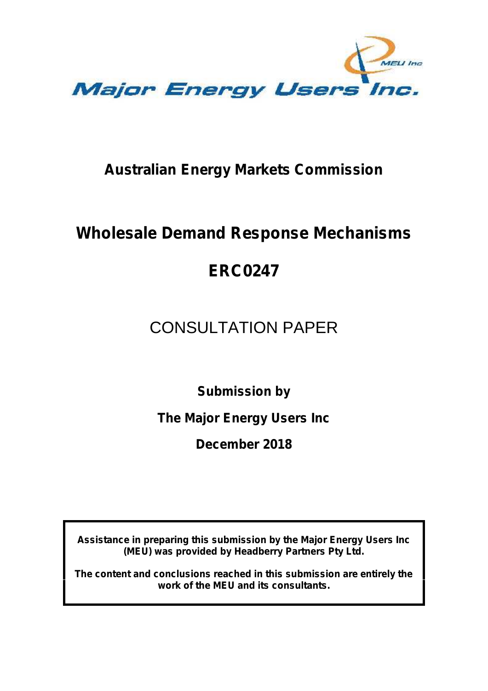

### **Australian Energy Markets Commission**

## **Wholesale Demand Response Mechanisms**

## **ERC0247**

# CONSULTATION PAPER

**Submission by**

**The Major Energy Users Inc**

**December 2018**

**Assistance in preparing this submission by the Major Energy Users Inc (MEU) was provided by Headberry Partners Pty Ltd.**

**The content and conclusions reached in this submission are entirely the work of the MEU and its consultants.**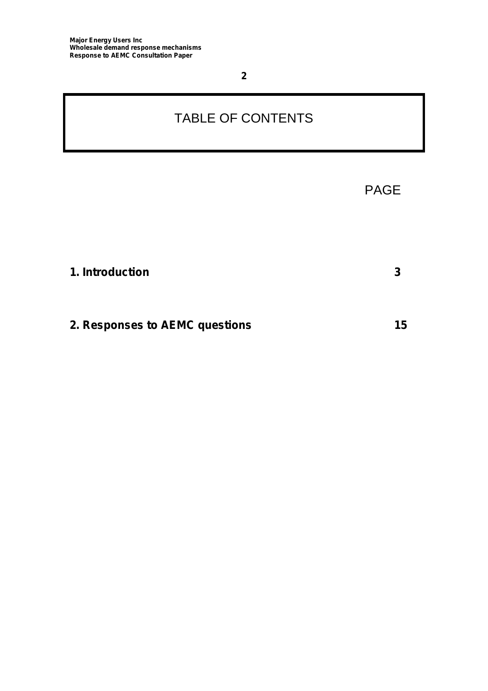### TABLE OF CONTENTS

|                                | <b>PAGE</b> |  |
|--------------------------------|-------------|--|
|                                |             |  |
| 1. Introduction                | 3           |  |
| 2. Responses to AEMC questions | 15          |  |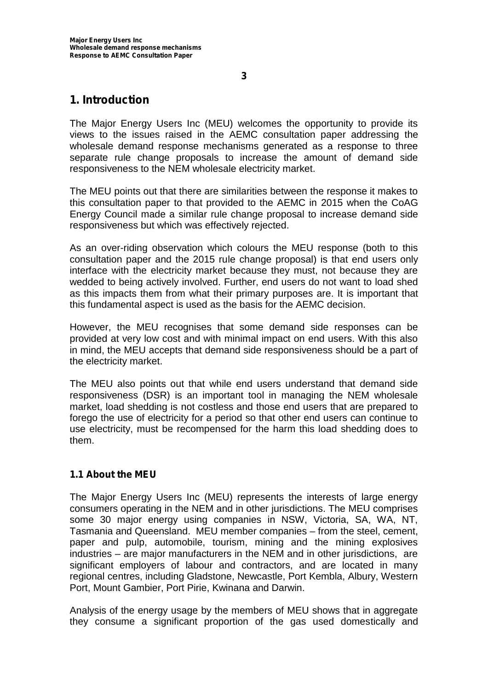### **1. Introduction**

The Major Energy Users Inc (MEU) welcomes the opportunity to provide its views to the issues raised in the AEMC consultation paper addressing the wholesale demand response mechanisms generated as a response to three separate rule change proposals to increase the amount of demand side responsiveness to the NEM wholesale electricity market.

The MEU points out that there are similarities between the response it makes to this consultation paper to that provided to the AEMC in 2015 when the CoAG Energy Council made a similar rule change proposal to increase demand side responsiveness but which was effectively rejected.

As an over-riding observation which colours the MEU response (both to this consultation paper and the 2015 rule change proposal) is that end users only interface with the electricity market because they must, not because they are wedded to being actively involved. Further, end users do not want to load shed as this impacts them from what their primary purposes are. It is important that this fundamental aspect is used as the basis for the AEMC decision.

However, the MEU recognises that some demand side responses can be provided at very low cost and with minimal impact on end users. With this also in mind, the MEU accepts that demand side responsiveness should be a part of the electricity market.

The MEU also points out that while end users understand that demand side responsiveness (DSR) is an important tool in managing the NEM wholesale market, load shedding is not costless and those end users that are prepared to forego the use of electricity for a period so that other end users can continue to use electricity, must be recompensed for the harm this load shedding does to them.

#### **1.1 About the MEU**

The Major Energy Users Inc (MEU) represents the interests of large energy consumers operating in the NEM and in other jurisdictions. The MEU comprises some 30 major energy using companies in NSW, Victoria, SA, WA, NT, Tasmania and Queensland. MEU member companies – from the steel, cement, paper and pulp, automobile, tourism, mining and the mining explosives industries – are major manufacturers in the NEM and in other jurisdictions, are significant employers of labour and contractors, and are located in many regional centres, including Gladstone, Newcastle, Port Kembla, Albury, Western Port, Mount Gambier, Port Pirie, Kwinana and Darwin.

Analysis of the energy usage by the members of MEU shows that in aggregate they consume a significant proportion of the gas used domestically and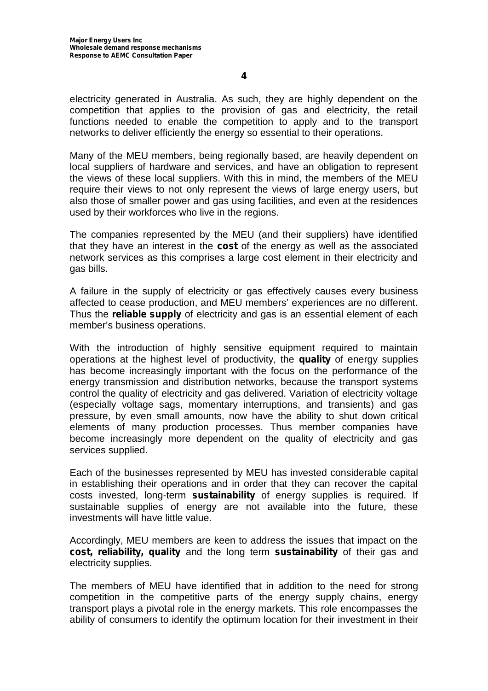electricity generated in Australia. As such, they are highly dependent on the competition that applies to the provision of gas and electricity, the retail functions needed to enable the competition to apply and to the transport networks to deliver efficiently the energy so essential to their operations.

Many of the MEU members, being regionally based, are heavily dependent on local suppliers of hardware and services, and have an obligation to represent the views of these local suppliers. With this in mind, the members of the MEU require their views to not only represent the views of large energy users, but also those of smaller power and gas using facilities, and even at the residences used by their workforces who live in the regions.

The companies represented by the MEU (and their suppliers) have identified that they have an interest in the **cost** of the energy as well as the associated network services as this comprises a large cost element in their electricity and gas bills.

A failure in the supply of electricity or gas effectively causes every business affected to cease production, and MEU members' experiences are no different. Thus the **reliable supply** of electricity and gas is an essential element of each member's business operations.

With the introduction of highly sensitive equipment required to maintain operations at the highest level of productivity, the **quality** of energy supplies has become increasingly important with the focus on the performance of the energy transmission and distribution networks, because the transport systems control the quality of electricity and gas delivered. Variation of electricity voltage (especially voltage sags, momentary interruptions, and transients) and gas pressure, by even small amounts, now have the ability to shut down critical elements of many production processes. Thus member companies have become increasingly more dependent on the quality of electricity and gas services supplied.

Each of the businesses represented by MEU has invested considerable capital in establishing their operations and in order that they can recover the capital costs invested, long-term **sustainability** of energy supplies is required. If sustainable supplies of energy are not available into the future, these investments will have little value.

Accordingly, MEU members are keen to address the issues that impact on the **cost, reliability, quality** and the long term **sustainability** of their gas and electricity supplies.

The members of MEU have identified that in addition to the need for strong competition in the competitive parts of the energy supply chains, energy transport plays a pivotal role in the energy markets. This role encompasses the ability of consumers to identify the optimum location for their investment in their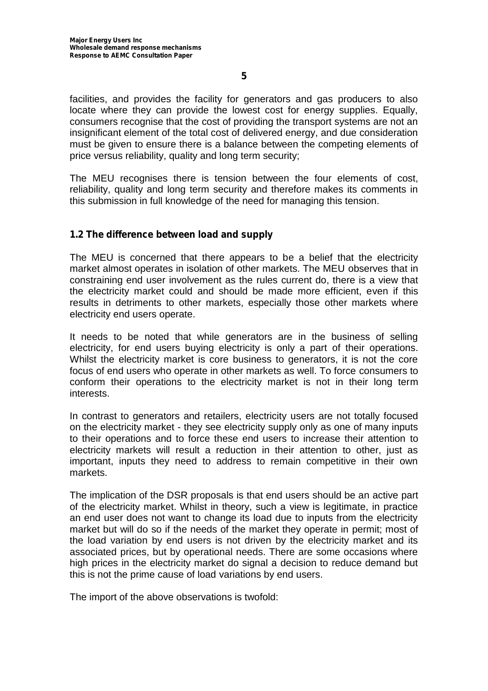facilities, and provides the facility for generators and gas producers to also locate where they can provide the lowest cost for energy supplies. Equally, consumers recognise that the cost of providing the transport systems are not an insignificant element of the total cost of delivered energy, and due consideration must be given to ensure there is a balance between the competing elements of price versus reliability, quality and long term security;

The MEU recognises there is tension between the four elements of cost, reliability, quality and long term security and therefore makes its comments in this submission in full knowledge of the need for managing this tension.

#### **1.2 The difference between load and supply**

The MEU is concerned that there appears to be a belief that the electricity market almost operates in isolation of other markets. The MEU observes that in constraining end user involvement as the rules current do, there is a view that the electricity market could and should be made more efficient, even if this results in detriments to other markets, especially those other markets where electricity end users operate.

It needs to be noted that while generators are in the business of selling electricity, for end users buying electricity is only a part of their operations. Whilst the electricity market is core business to generators, it is not the core focus of end users who operate in other markets as well. To force consumers to conform their operations to the electricity market is not in their long term interests.

In contrast to generators and retailers, electricity users are not totally focused on the electricity market - they see electricity supply only as one of many inputs to their operations and to force these end users to increase their attention to electricity markets will result a reduction in their attention to other, just as important, inputs they need to address to remain competitive in their own markets.

The implication of the DSR proposals is that end users should be an active part of the electricity market. Whilst in theory, such a view is legitimate, in practice an end user does not want to change its load due to inputs from the electricity market but will do so if the needs of the market they operate in permit; most of the load variation by end users is not driven by the electricity market and its associated prices, but by operational needs. There are some occasions where high prices in the electricity market do signal a decision to reduce demand but this is not the prime cause of load variations by end users.

The import of the above observations is twofold: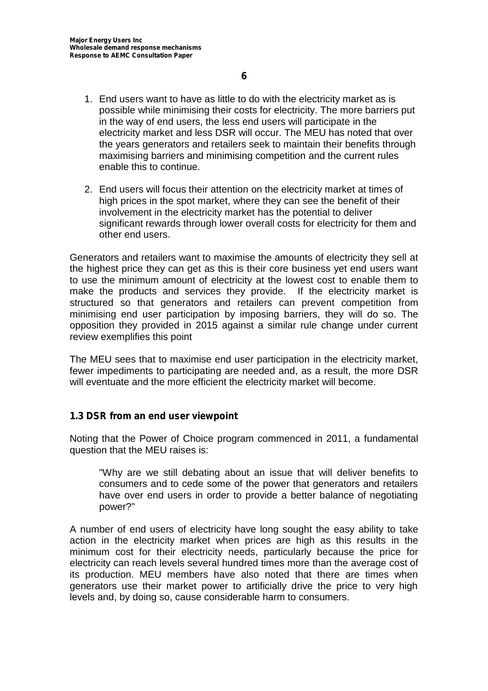- 1. End users want to have as little to do with the electricity market as is possible while minimising their costs for electricity. The more barriers put in the way of end users, the less end users will participate in the electricity market and less DSR will occur. The MEU has noted that over the years generators and retailers seek to maintain their benefits through maximising barriers and minimising competition and the current rules enable this to continue.
- 2. End users will focus their attention on the electricity market at times of high prices in the spot market, where they can see the benefit of their involvement in the electricity market has the potential to deliver significant rewards through lower overall costs for electricity for them and other end users.

Generators and retailers want to maximise the amounts of electricity they sell at the highest price they can get as this is their core business yet end users want to use the minimum amount of electricity at the lowest cost to enable them to make the products and services they provide. If the electricity market is structured so that generators and retailers can prevent competition from minimising end user participation by imposing barriers, they will do so. The opposition they provided in 2015 against a similar rule change under current review exemplifies this point

The MEU sees that to maximise end user participation in the electricity market, fewer impediments to participating are needed and, as a result, the more DSR will eventuate and the more efficient the electricity market will become.

#### **1.3 DSR from an end user viewpoint**

Noting that the Power of Choice program commenced in 2011, a fundamental question that the MEU raises is:

"Why are we still debating about an issue that will deliver benefits to consumers and to cede some of the power that generators and retailers have over end users in order to provide a better balance of negotiating power?"

A number of end users of electricity have long sought the easy ability to take action in the electricity market when prices are high as this results in the minimum cost for their electricity needs, particularly because the price for electricity can reach levels several hundred times more than the average cost of its production. MEU members have also noted that there are times when generators use their market power to artificially drive the price to very high levels and, by doing so, cause considerable harm to consumers.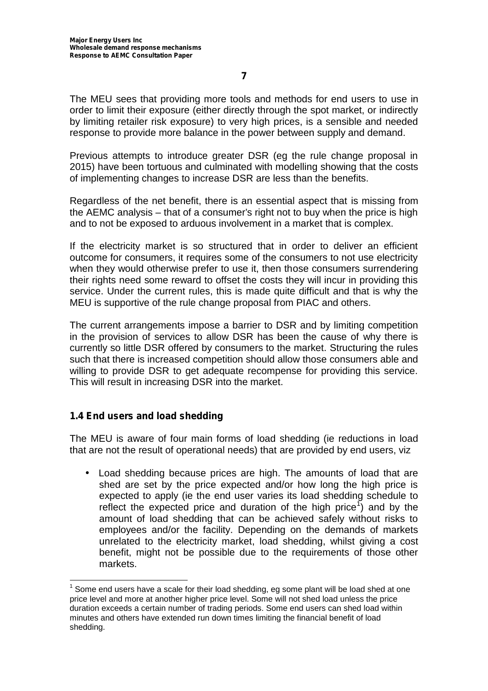The MEU sees that providing more tools and methods for end users to use in order to limit their exposure (either directly through the spot market, or indirectly by limiting retailer risk exposure) to very high prices, is a sensible and needed response to provide more balance in the power between supply and demand.

Previous attempts to introduce greater DSR (eg the rule change proposal in 2015) have been tortuous and culminated with modelling showing that the costs of implementing changes to increase DSR are less than the benefits.

Regardless of the net benefit, there is an essential aspect that is missing from the AEMC analysis – that of a consumer's right not to buy when the price is high and to not be exposed to arduous involvement in a market that is complex.

If the electricity market is so structured that in order to deliver an efficient outcome for consumers, it requires some of the consumers to not use electricity when they would otherwise prefer to use it, then those consumers surrendering their rights need some reward to offset the costs they will incur in providing this service. Under the current rules, this is made quite difficult and that is why the MEU is supportive of the rule change proposal from PIAC and others.

The current arrangements impose a barrier to DSR and by limiting competition in the provision of services to allow DSR has been the cause of why there is currently so little DSR offered by consumers to the market. Structuring the rules such that there is increased competition should allow those consumers able and willing to provide DSR to get adequate recompense for providing this service. This will result in increasing DSR into the market.

#### **1.4 End users and load shedding**

The MEU is aware of four main forms of load shedding (ie reductions in load that are not the result of operational needs) that are provided by end users, viz

 Load shedding because prices are high. The amounts of load that are shed are set by the price expected and/or how long the high price is expected to apply (ie the end user varies its load shedding schedule to reflect the expected price and duration of the high price<sup>1</sup>) and by the amount of load shedding that can be achieved safely without risks to employees and/or the facility. Depending on the demands of markets unrelated to the electricity market, load shedding, whilst giving a cost benefit, might not be possible due to the requirements of those other markets.

 $<sup>1</sup>$  Some end users have a scale for their load shedding, eg some plant will be load shed at one</sup> price level and more at another higher price level. Some will not shed load unless the price duration exceeds a certain number of trading periods. Some end users can shed load within minutes and others have extended run down times limiting the financial benefit of load shedding.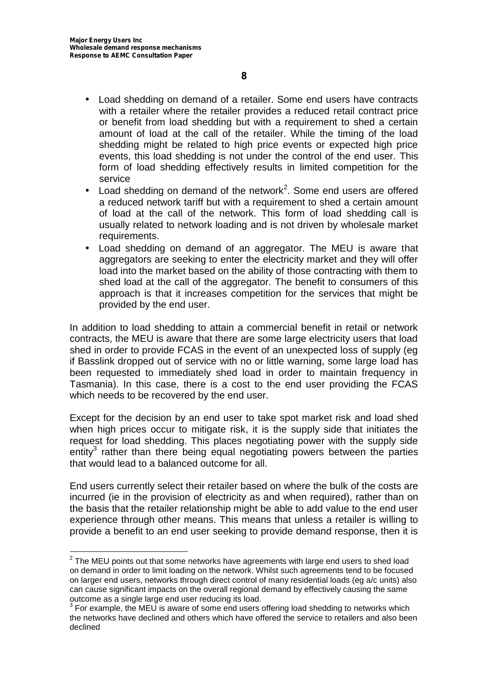- Load shedding on demand of a retailer. Some end users have contracts with a retailer where the retailer provides a reduced retail contract price or benefit from load shedding but with a requirement to shed a certain amount of load at the call of the retailer. While the timing of the load shedding might be related to high price events or expected high price events, this load shedding is not under the control of the end user. This form of load shedding effectively results in limited competition for the service
- ) Load shedding on demand of the network<sup>2</sup>. Some end users are offered a reduced network tariff but with a requirement to shed a certain amount of load at the call of the network. This form of load shedding call is usually related to network loading and is not driven by wholesale market requirements.
- Load shedding on demand of an aggregator. The MEU is aware that aggregators are seeking to enter the electricity market and they will offer load into the market based on the ability of those contracting with them to shed load at the call of the aggregator. The benefit to consumers of this approach is that it increases competition for the services that might be provided by the end user.

In addition to load shedding to attain a commercial benefit in retail or network contracts, the MEU is aware that there are some large electricity users that load shed in order to provide FCAS in the event of an unexpected loss of supply (eg if Basslink dropped out of service with no or little warning, some large load has been requested to immediately shed load in order to maintain frequency in Tasmania). In this case, there is a cost to the end user providing the FCAS which needs to be recovered by the end user.

Except for the decision by an end user to take spot market risk and load shed when high prices occur to mitigate risk, it is the supply side that initiates the request for load shedding. This places negotiating power with the supply side entity<sup>3</sup> rather than there being equal negotiating powers between the parties that would lead to a balanced outcome for all.

End users currently select their retailer based on where the bulk of the costs are incurred (ie in the provision of electricity as and when required), rather than on the basis that the retailer relationship might be able to add value to the end user experience through other means. This means that unless a retailer is willing to provide a benefit to an end user seeking to provide demand response, then it is

 $2$  The MEU points out that some networks have agreements with large end users to shed load on demand in order to limit loading on the network. Whilst such agreements tend to be focused on larger end users, networks through direct control of many residential loads (eg a/c units) also can cause significant impacts on the overall regional demand by effectively causing the same outcome as a single large end user reducing its load.<br> $3$  For example, the MEU is aware of some end users offering load shedding to networks which

the networks have declined and others which have offered the service to retailers and also been declined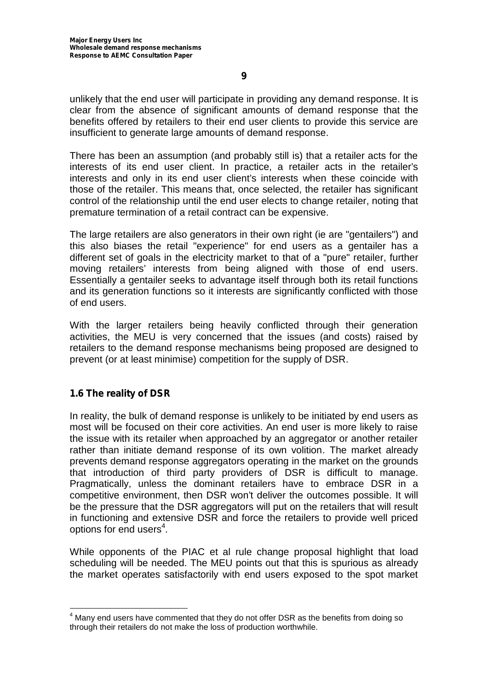unlikely that the end user will participate in providing any demand response. It is clear from the absence of significant amounts of demand response that the benefits offered by retailers to their end user clients to provide this service are insufficient to generate large amounts of demand response.

There has been an assumption (and probably still is) that a retailer acts for the interests of its end user client. In practice, a retailer acts in the retailer's interests and only in its end user client's interests when these coincide with those of the retailer. This means that, once selected, the retailer has significant control of the relationship until the end user elects to change retailer, noting that premature termination of a retail contract can be expensive.

The large retailers are also generators in their own right (ie are "gentailers") and this also biases the retail "experience" for end users as a gentailer has a different set of goals in the electricity market to that of a "pure" retailer, further moving retailers' interests from being aligned with those of end users. Essentially a gentailer seeks to advantage itself through both its retail functions and its generation functions so it interests are significantly conflicted with those of end users.

With the larger retailers being heavily conflicted through their generation activities, the MEU is very concerned that the issues (and costs) raised by retailers to the demand response mechanisms being proposed are designed to prevent (or at least minimise) competition for the supply of DSR.

#### **1.6 The reality of DSR**

In reality, the bulk of demand response is unlikely to be initiated by end users as most will be focused on their core activities. An end user is more likely to raise the issue with its retailer when approached by an aggregator or another retailer rather than initiate demand response of its own volition. The market already prevents demand response aggregators operating in the market on the grounds that introduction of third party providers of DSR is difficult to manage. Pragmatically, unless the dominant retailers have to embrace DSR in a competitive environment, then DSR won't deliver the outcomes possible. It will be the pressure that the DSR aggregators will put on the retailers that will result in functioning and extensive DSR and force the retailers to provide well priced options for end users $^4$ .

While opponents of the PIAC et al rule change proposal highlight that load scheduling will be needed. The MEU points out that this is spurious as already the market operates satisfactorily with end users exposed to the spot market

 $4$  Many end users have commented that they do not offer DSR as the benefits from doing so through their retailers do not make the loss of production worthwhile.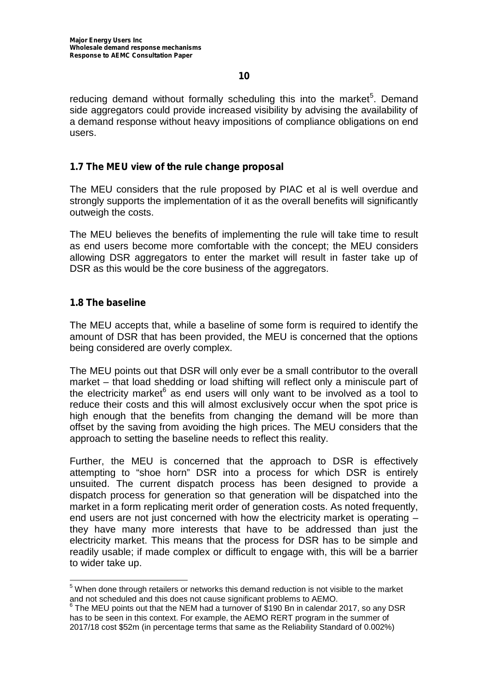reducing demand without formally scheduling this into the market<sup>5</sup>. Demand side aggregators could provide increased visibility by advising the availability of a demand response without heavy impositions of compliance obligations on end users.

#### **1.7 The MEU view of the rule change proposal**

The MEU considers that the rule proposed by PIAC et al is well overdue and strongly supports the implementation of it as the overall benefits will significantly outweigh the costs.

The MEU believes the benefits of implementing the rule will take time to result as end users become more comfortable with the concept; the MEU considers allowing DSR aggregators to enter the market will result in faster take up of DSR as this would be the core business of the aggregators.

#### **1.8 The baseline**

The MEU accepts that, while a baseline of some form is required to identify the amount of DSR that has been provided, the MEU is concerned that the options being considered are overly complex.

The MEU points out that DSR will only ever be a small contributor to the overall market – that load shedding or load shifting will reflect only a miniscule part of the electricity market $6$  as end users will only want to be involved as a tool to reduce their costs and this will almost exclusively occur when the spot price is high enough that the benefits from changing the demand will be more than offset by the saving from avoiding the high prices. The MEU considers that the approach to setting the baseline needs to reflect this reality.

Further, the MEU is concerned that the approach to DSR is effectively attempting to "shoe horn" DSR into a process for which DSR is entirely unsuited. The current dispatch process has been designed to provide a dispatch process for generation so that generation will be dispatched into the market in a form replicating merit order of generation costs. As noted frequently, end users are not just concerned with how the electricity market is operating – they have many more interests that have to be addressed than just the electricity market. This means that the process for DSR has to be simple and readily usable; if made complex or difficult to engage with, this will be a barrier to wider take up.

<sup>&</sup>lt;sup>5</sup> When done through retailers or networks this demand reduction is not visible to the market

and not scheduled and this does not cause significant problems to AEMO.<br>
<sup>6</sup> The MEU points out that the NEM had a turnover of \$190 Bn in calendar 2017, so any DSR has to be seen in this context. For example, the AEMO RERT program in the summer of 2017/18 cost \$52m (in percentage terms that same as the Reliability Standard of 0.002%)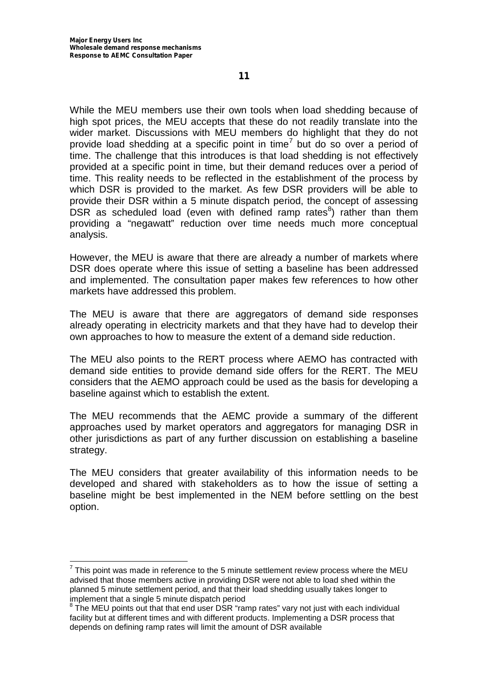While the MEU members use their own tools when load shedding because of high spot prices, the MEU accepts that these do not readily translate into the wider market. Discussions with MEU members do highlight that they do not provide load shedding at a specific point in time<sup>7</sup> but do so over a period of time. The challenge that this introduces is that load shedding is not effectively provided at a specific point in time, but their demand reduces over a period of time. This reality needs to be reflected in the establishment of the process by which DSR is provided to the market. As few DSR providers will be able to provide their DSR within a 5 minute dispatch period, the concept of assessing DSR as scheduled load (even with defined ramp rates ${}^{8}$ ) rather than them providing a "negawatt" reduction over time needs much more conceptual analysis.

However, the MEU is aware that there are already a number of markets where DSR does operate where this issue of setting a baseline has been addressed and implemented. The consultation paper makes few references to how other markets have addressed this problem.

The MEU is aware that there are aggregators of demand side responses already operating in electricity markets and that they have had to develop their own approaches to how to measure the extent of a demand side reduction.

The MEU also points to the RERT process where AEMO has contracted with demand side entities to provide demand side offers for the RERT. The MEU considers that the AEMO approach could be used as the basis for developing a baseline against which to establish the extent.

The MEU recommends that the AEMC provide a summary of the different approaches used by market operators and aggregators for managing DSR in other jurisdictions as part of any further discussion on establishing a baseline strategy.

The MEU considers that greater availability of this information needs to be developed and shared with stakeholders as to how the issue of setting a baseline might be best implemented in the NEM before settling on the best option.

 $7$  This point was made in reference to the 5 minute settlement review process where the MEU advised that those members active in providing DSR were not able to load shed within the planned 5 minute settlement period, and that their load shedding usually takes longer to implement that a single 5 minute dispatch period

<sup>&</sup>lt;sup>8</sup> The MEU points out that that end user DSR "ramp rates" vary not just with each individual facility but at different times and with different products. Implementing a DSR process that depends on defining ramp rates will limit the amount of DSR available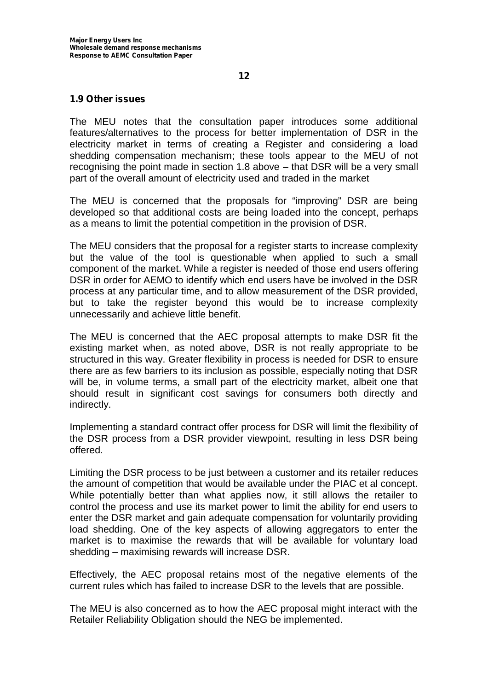#### **1.9 Other issues**

The MEU notes that the consultation paper introduces some additional features/alternatives to the process for better implementation of DSR in the electricity market in terms of creating a Register and considering a load shedding compensation mechanism; these tools appear to the MEU of not recognising the point made in section 1.8 above – that DSR will be a very small part of the overall amount of electricity used and traded in the market

The MEU is concerned that the proposals for "improving" DSR are being developed so that additional costs are being loaded into the concept, perhaps as a means to limit the potential competition in the provision of DSR.

The MEU considers that the proposal for a register starts to increase complexity but the value of the tool is questionable when applied to such a small component of the market. While a register is needed of those end users offering DSR in order for AEMO to identify which end users have be involved in the DSR process at any particular time, and to allow measurement of the DSR provided, but to take the register beyond this would be to increase complexity unnecessarily and achieve little benefit.

The MEU is concerned that the AEC proposal attempts to make DSR fit the existing market when, as noted above, DSR is not really appropriate to be structured in this way. Greater flexibility in process is needed for DSR to ensure there are as few barriers to its inclusion as possible, especially noting that DSR will be, in volume terms, a small part of the electricity market, albeit one that should result in significant cost savings for consumers both directly and indirectly.

Implementing a standard contract offer process for DSR will limit the flexibility of the DSR process from a DSR provider viewpoint, resulting in less DSR being offered.

Limiting the DSR process to be just between a customer and its retailer reduces the amount of competition that would be available under the PIAC et al concept. While potentially better than what applies now, it still allows the retailer to control the process and use its market power to limit the ability for end users to enter the DSR market and gain adequate compensation for voluntarily providing load shedding. One of the key aspects of allowing aggregators to enter the market is to maximise the rewards that will be available for voluntary load shedding – maximising rewards will increase DSR.

Effectively, the AEC proposal retains most of the negative elements of the current rules which has failed to increase DSR to the levels that are possible.

The MEU is also concerned as to how the AEC proposal might interact with the Retailer Reliability Obligation should the NEG be implemented.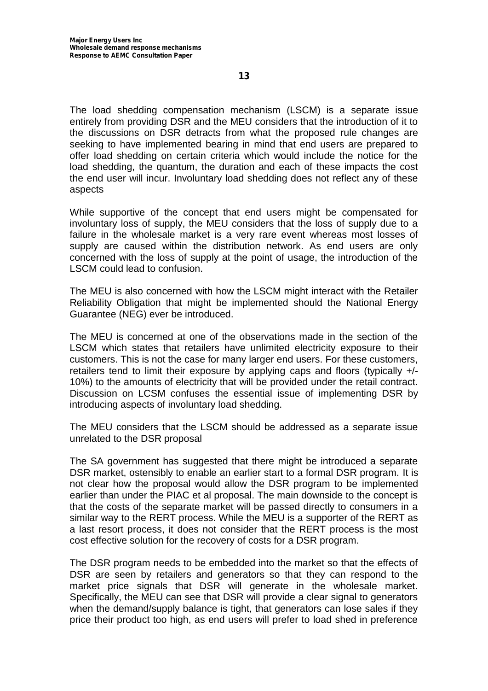The load shedding compensation mechanism (LSCM) is a separate issue entirely from providing DSR and the MEU considers that the introduction of it to the discussions on DSR detracts from what the proposed rule changes are seeking to have implemented bearing in mind that end users are prepared to offer load shedding on certain criteria which would include the notice for the load shedding, the quantum, the duration and each of these impacts the cost the end user will incur. Involuntary load shedding does not reflect any of these aspects

While supportive of the concept that end users might be compensated for involuntary loss of supply, the MEU considers that the loss of supply due to a failure in the wholesale market is a very rare event whereas most losses of supply are caused within the distribution network. As end users are only concerned with the loss of supply at the point of usage, the introduction of the LSCM could lead to confusion.

The MEU is also concerned with how the LSCM might interact with the Retailer Reliability Obligation that might be implemented should the National Energy Guarantee (NEG) ever be introduced.

The MEU is concerned at one of the observations made in the section of the LSCM which states that retailers have unlimited electricity exposure to their customers. This is not the case for many larger end users. For these customers, retailers tend to limit their exposure by applying caps and floors (typically +/- 10%) to the amounts of electricity that will be provided under the retail contract. Discussion on LCSM confuses the essential issue of implementing DSR by introducing aspects of involuntary load shedding.

The MEU considers that the LSCM should be addressed as a separate issue unrelated to the DSR proposal

The SA government has suggested that there might be introduced a separate DSR market, ostensibly to enable an earlier start to a formal DSR program. It is not clear how the proposal would allow the DSR program to be implemented earlier than under the PIAC et al proposal. The main downside to the concept is that the costs of the separate market will be passed directly to consumers in a similar way to the RERT process. While the MEU is a supporter of the RERT as a last resort process, it does not consider that the RERT process is the most cost effective solution for the recovery of costs for a DSR program.

The DSR program needs to be embedded into the market so that the effects of DSR are seen by retailers and generators so that they can respond to the market price signals that DSR will generate in the wholesale market. Specifically, the MEU can see that DSR will provide a clear signal to generators when the demand/supply balance is tight, that generators can lose sales if they price their product too high, as end users will prefer to load shed in preference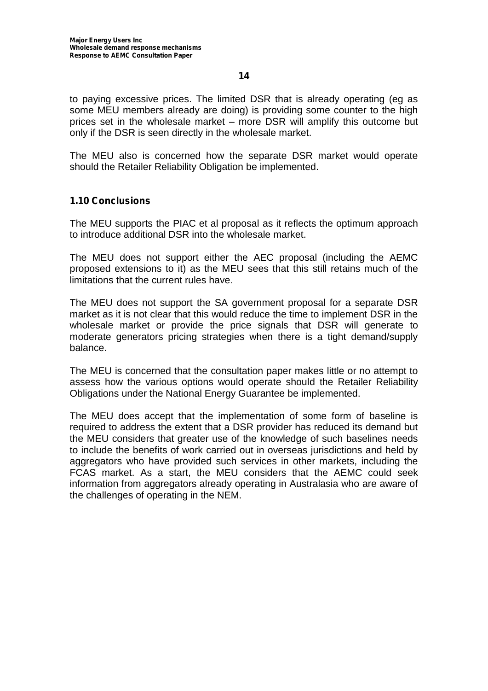to paying excessive prices. The limited DSR that is already operating (eg as some MEU members already are doing) is providing some counter to the high prices set in the wholesale market – more DSR will amplify this outcome but only if the DSR is seen directly in the wholesale market.

The MEU also is concerned how the separate DSR market would operate should the Retailer Reliability Obligation be implemented.

#### **1.10 Conclusions**

The MEU supports the PIAC et al proposal as it reflects the optimum approach to introduce additional DSR into the wholesale market.

The MEU does not support either the AEC proposal (including the AEMC proposed extensions to it) as the MEU sees that this still retains much of the limitations that the current rules have.

The MEU does not support the SA government proposal for a separate DSR market as it is not clear that this would reduce the time to implement DSR in the wholesale market or provide the price signals that DSR will generate to moderate generators pricing strategies when there is a tight demand/supply balance.

The MEU is concerned that the consultation paper makes little or no attempt to assess how the various options would operate should the Retailer Reliability Obligations under the National Energy Guarantee be implemented.

The MEU does accept that the implementation of some form of baseline is required to address the extent that a DSR provider has reduced its demand but the MEU considers that greater use of the knowledge of such baselines needs to include the benefits of work carried out in overseas jurisdictions and held by aggregators who have provided such services in other markets, including the FCAS market. As a start, the MEU considers that the AEMC could seek information from aggregators already operating in Australasia who are aware of the challenges of operating in the NEM.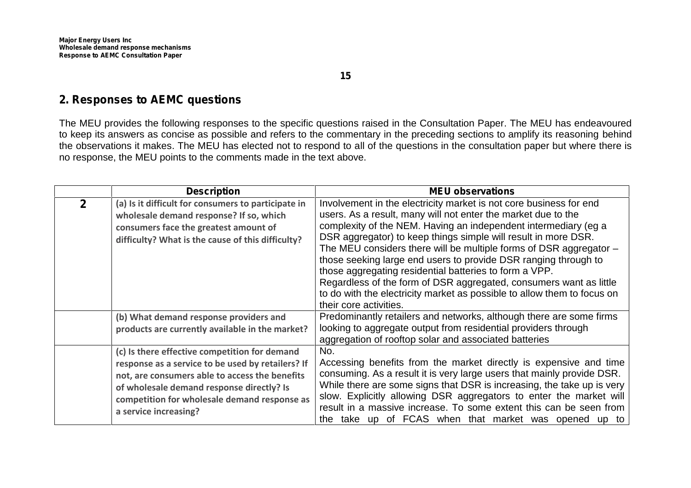### **2. Responses to AEMC questions**

The MEU provides the following responses to the specific questions raised in the Consultation Paper. The MEU has endeavoured to keep its answers as concise as possible and refers to the commentary in the preceding sections to amplify its reasoning behind the observations it makes. The MEU has elected not to respond to all of the questions in the consultation paper but where there is no response, the MEU points to the comments made in the text above.

|              | <b>Description</b>                                                                                                                                                                                                                                                         | <b>MEU observations</b>                                                                                                                                                                                                                                                                                                                                                                                                                                                                                                                                                                                                                                  |
|--------------|----------------------------------------------------------------------------------------------------------------------------------------------------------------------------------------------------------------------------------------------------------------------------|----------------------------------------------------------------------------------------------------------------------------------------------------------------------------------------------------------------------------------------------------------------------------------------------------------------------------------------------------------------------------------------------------------------------------------------------------------------------------------------------------------------------------------------------------------------------------------------------------------------------------------------------------------|
| $\mathbf{2}$ | (a) Is it difficult for consumers to participate in<br>wholesale demand response? If so, which<br>consumers face the greatest amount of<br>difficulty? What is the cause of this difficulty?                                                                               | Involvement in the electricity market is not core business for end<br>users. As a result, many will not enter the market due to the<br>complexity of the NEM. Having an independent intermediary (eg a<br>DSR aggregator) to keep things simple will result in more DSR.<br>The MEU considers there will be multiple forms of DSR aggregator $-$<br>those seeking large end users to provide DSR ranging through to<br>those aggregating residential batteries to form a VPP.<br>Regardless of the form of DSR aggregated, consumers want as little<br>to do with the electricity market as possible to allow them to focus on<br>their core activities. |
|              | (b) What demand response providers and<br>products are currently available in the market?                                                                                                                                                                                  | Predominantly retailers and networks, although there are some firms<br>looking to aggregate output from residential providers through<br>aggregation of rooftop solar and associated batteries                                                                                                                                                                                                                                                                                                                                                                                                                                                           |
|              | (c) Is there effective competition for demand<br>response as a service to be used by retailers? If<br>not, are consumers able to access the benefits<br>of wholesale demand response directly? Is<br>competition for wholesale demand response as<br>a service increasing? | No.<br>Accessing benefits from the market directly is expensive and time<br>consuming. As a result it is very large users that mainly provide DSR.<br>While there are some signs that DSR is increasing, the take up is very<br>slow. Explicitly allowing DSR aggregators to enter the market will<br>result in a massive increase. To some extent this can be seen from<br>the take up of FCAS when that market was opened up to                                                                                                                                                                                                                        |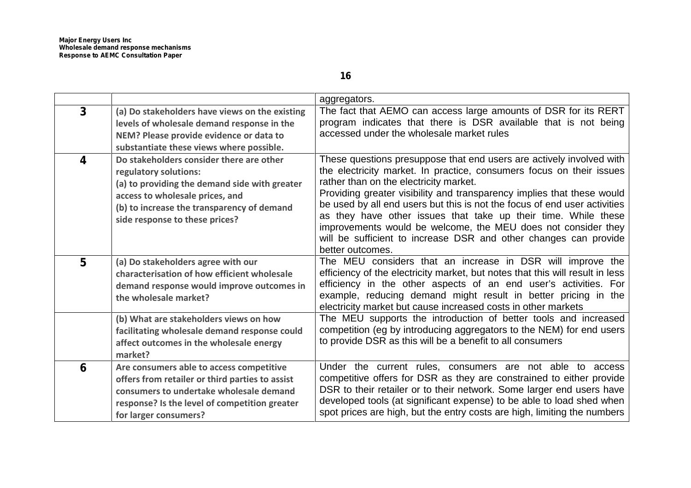|                |                                                                                                                                                                                                                                       | aggregators.                                                                                                                                                                                                                                                                                                                                                                                                                                                                                                                                                             |
|----------------|---------------------------------------------------------------------------------------------------------------------------------------------------------------------------------------------------------------------------------------|--------------------------------------------------------------------------------------------------------------------------------------------------------------------------------------------------------------------------------------------------------------------------------------------------------------------------------------------------------------------------------------------------------------------------------------------------------------------------------------------------------------------------------------------------------------------------|
| 3 <sup>1</sup> | (a) Do stakeholders have views on the existing<br>levels of wholesale demand response in the<br>NEM? Please provide evidence or data to<br>substantiate these views where possible.                                                   | The fact that AEMO can access large amounts of DSR for its RERT<br>program indicates that there is DSR available that is not being<br>accessed under the wholesale market rules                                                                                                                                                                                                                                                                                                                                                                                          |
| 4              | Do stakeholders consider there are other<br>regulatory solutions:<br>(a) to providing the demand side with greater<br>access to wholesale prices, and<br>(b) to increase the transparency of demand<br>side response to these prices? | These questions presuppose that end users are actively involved with<br>the electricity market. In practice, consumers focus on their issues<br>rather than on the electricity market.<br>Providing greater visibility and transparency implies that these would<br>be used by all end users but this is not the focus of end user activities<br>as they have other issues that take up their time. While these<br>improvements would be welcome, the MEU does not consider they<br>will be sufficient to increase DSR and other changes can provide<br>better outcomes. |
| $5\phantom{1}$ | (a) Do stakeholders agree with our<br>characterisation of how efficient wholesale<br>demand response would improve outcomes in<br>the wholesale market?                                                                               | The MEU considers that an increase in DSR will improve the<br>efficiency of the electricity market, but notes that this will result in less<br>efficiency in the other aspects of an end user's activities. For<br>example, reducing demand might result in better pricing in the<br>electricity market but cause increased costs in other markets                                                                                                                                                                                                                       |
|                | (b) What are stakeholders views on how<br>facilitating wholesale demand response could<br>affect outcomes in the wholesale energy<br>market?                                                                                          | The MEU supports the introduction of better tools and increased<br>competition (eg by introducing aggregators to the NEM) for end users<br>to provide DSR as this will be a benefit to all consumers                                                                                                                                                                                                                                                                                                                                                                     |
| 6              | Are consumers able to access competitive<br>offers from retailer or third parties to assist<br>consumers to undertake wholesale demand<br>response? Is the level of competition greater<br>for larger consumers?                      | Under the current rules, consumers are not able to access<br>competitive offers for DSR as they are constrained to either provide<br>DSR to their retailer or to their network. Some larger end users have<br>developed tools (at significant expense) to be able to load shed when<br>spot prices are high, but the entry costs are high, limiting the numbers                                                                                                                                                                                                          |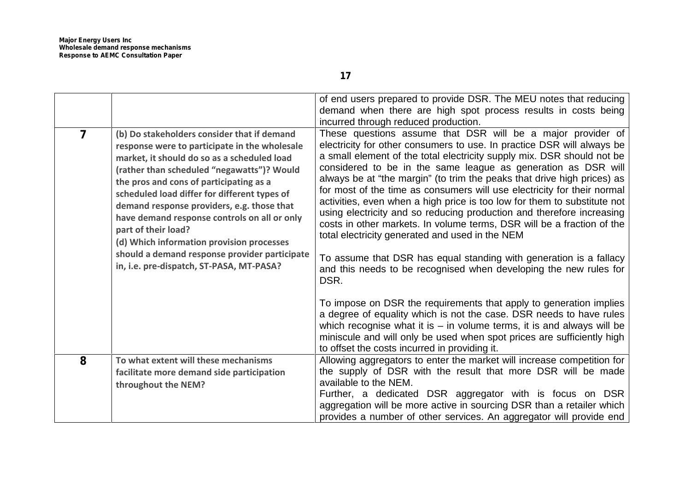| $\overline{7}$ | (b) Do stakeholders consider that if demand<br>response were to participate in the wholesale<br>market, it should do so as a scheduled load<br>(rather than scheduled "negawatts")? Would<br>the pros and cons of participating as a<br>scheduled load differ for different types of<br>demand response providers, e.g. those that<br>have demand response controls on all or only<br>part of their load?<br>(d) Which information provision processes<br>should a demand response provider participate<br>in, i.e. pre-dispatch, ST-PASA, MT-PASA? | of end users prepared to provide DSR. The MEU notes that reducing<br>demand when there are high spot process results in costs being<br>incurred through reduced production.<br>These questions assume that DSR will be a major provider of<br>electricity for other consumers to use. In practice DSR will always be<br>a small element of the total electricity supply mix. DSR should not be<br>considered to be in the same league as generation as DSR will<br>always be at "the margin" (to trim the peaks that drive high prices) as<br>for most of the time as consumers will use electricity for their normal<br>activities, even when a high price is too low for them to substitute not<br>using electricity and so reducing production and therefore increasing<br>costs in other markets. In volume terms, DSR will be a fraction of the<br>total electricity generated and used in the NEM<br>To assume that DSR has equal standing with generation is a fallacy<br>and this needs to be recognised when developing the new rules for<br>DSR.<br>To impose on DSR the requirements that apply to generation implies |
|----------------|-----------------------------------------------------------------------------------------------------------------------------------------------------------------------------------------------------------------------------------------------------------------------------------------------------------------------------------------------------------------------------------------------------------------------------------------------------------------------------------------------------------------------------------------------------|----------------------------------------------------------------------------------------------------------------------------------------------------------------------------------------------------------------------------------------------------------------------------------------------------------------------------------------------------------------------------------------------------------------------------------------------------------------------------------------------------------------------------------------------------------------------------------------------------------------------------------------------------------------------------------------------------------------------------------------------------------------------------------------------------------------------------------------------------------------------------------------------------------------------------------------------------------------------------------------------------------------------------------------------------------------------------------------------------------------------------------|
|                |                                                                                                                                                                                                                                                                                                                                                                                                                                                                                                                                                     | a degree of equality which is not the case. DSR needs to have rules<br>which recognise what it is $-$ in volume terms, it is and always will be<br>miniscule and will only be used when spot prices are sufficiently high<br>to offset the costs incurred in providing it.                                                                                                                                                                                                                                                                                                                                                                                                                                                                                                                                                                                                                                                                                                                                                                                                                                                       |
| 8              | To what extent will these mechanisms<br>facilitate more demand side participation<br>throughout the NEM?                                                                                                                                                                                                                                                                                                                                                                                                                                            | Allowing aggregators to enter the market will increase competition for<br>the supply of DSR with the result that more DSR will be made<br>available to the NEM.<br>Further, a dedicated DSR aggregator with is focus on DSR<br>aggregation will be more active in sourcing DSR than a retailer which<br>provides a number of other services. An aggregator will provide end                                                                                                                                                                                                                                                                                                                                                                                                                                                                                                                                                                                                                                                                                                                                                      |